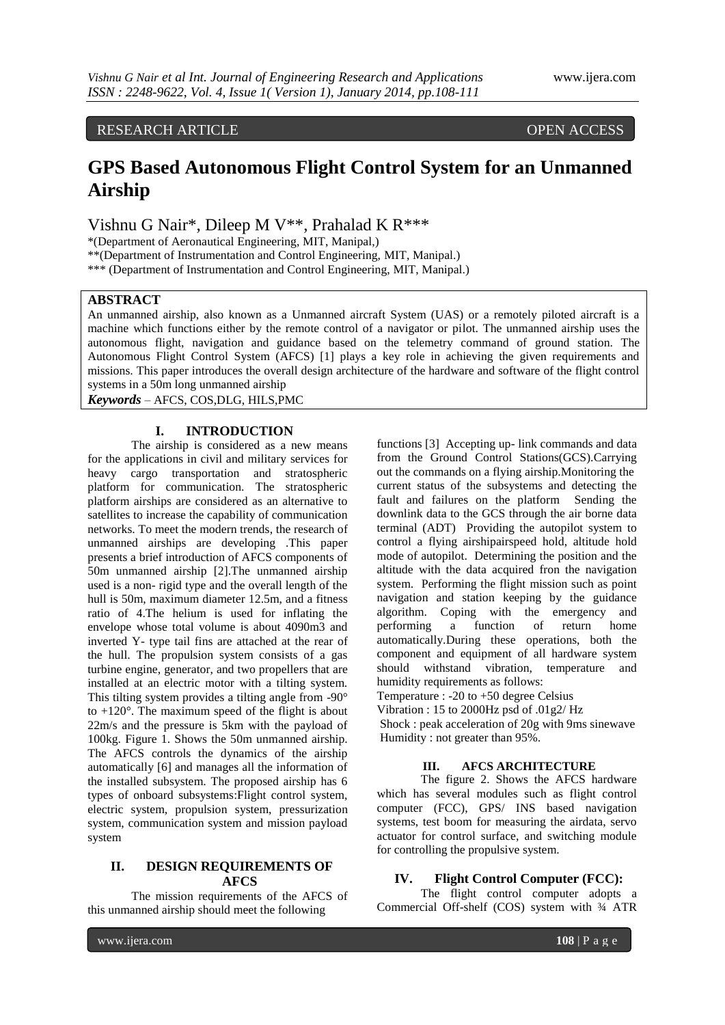# RESEARCH ARTICLE OPEN ACCESS

# **GPS Based Autonomous Flight Control System for an Unmanned Airship**

Vishnu G Nair\*, Dileep M V\*\*, Prahalad K R\*\*\*

\*(Department of Aeronautical Engineering, MIT, Manipal,)

\*\*(Department of Instrumentation and Control Engineering, MIT, Manipal.)

\*\*\* (Department of Instrumentation and Control Engineering, MIT, Manipal.)

#### **ABSTRACT**

An unmanned airship, also known as a Unmanned aircraft System (UAS) or a remotely piloted aircraft is a machine which functions either by the remote control of a navigator or pilot. The unmanned airship uses the autonomous flight, navigation and guidance based on the telemetry command of ground station. The Autonomous Flight Control System (AFCS) [1] plays a key role in achieving the given requirements and missions. This paper introduces the overall design architecture of the hardware and software of the flight control systems in a 50m long unmanned airship

*Keywords* – AFCS, COS,DLG, HILS,PMC

#### **I. INTRODUCTION**

The airship is considered as a new means for the applications in civil and military services for heavy cargo transportation and stratospheric platform for communication. The stratospheric platform airships are considered as an alternative to satellites to increase the capability of communication networks. To meet the modern trends, the research of unmanned airships are developing .This paper presents a brief introduction of AFCS components of 50m unmanned airship [2].The unmanned airship used is a non- rigid type and the overall length of the hull is 50m, maximum diameter 12.5m, and a fitness ratio of 4.The helium is used for inflating the envelope whose total volume is about 4090m3 and inverted Y- type tail fins are attached at the rear of the hull. The propulsion system consists of a gas turbine engine, generator, and two propellers that are installed at an electric motor with a tilting system. This tilting system provides a tilting angle from -90° to +120°. The maximum speed of the flight is about 22m/s and the pressure is 5km with the payload of 100kg. Figure 1. Shows the 50m unmanned airship. The AFCS controls the dynamics of the airship automatically [6] and manages all the information of the installed subsystem. The proposed airship has 6 types of onboard subsystems:Flight control system, electric system, propulsion system, pressurization system, communication system and mission payload system

#### **II. DESIGN REQUIREMENTS OF AFCS**

The mission requirements of the AFCS of this unmanned airship should meet the following

functions [3] Accepting up- link commands and data from the Ground Control Stations(GCS).Carrying out the commands on a flying airship.Monitoring the current status of the subsystems and detecting the fault and failures on the platform Sending the downlink data to the GCS through the air borne data terminal (ADT) Providing the autopilot system to control a flying airshipairspeed hold, altitude hold mode of autopilot. Determining the position and the altitude with the data acquired fron the navigation system. Performing the flight mission such as point navigation and station keeping by the guidance algorithm. Coping with the emergency and performing a function of return home automatically.During these operations, both the component and equipment of all hardware system should withstand vibration, temperature and humidity requirements as follows:

Temperature : -20 to +50 degree Celsius

Vibration : 15 to 2000Hz psd of .01g2/ Hz

Shock : peak acceleration of 20g with 9ms sinewave Humidity : not greater than 95%.

#### **III. AFCS ARCHITECTURE**

The figure 2. Shows the AFCS hardware which has several modules such as flight control computer (FCC), GPS/ INS based navigation systems, test boom for measuring the airdata, servo actuator for control surface, and switching module for controlling the propulsive system.

#### **IV. Flight Control Computer (FCC):**

The flight control computer adopts a Commercial Off-shelf (COS) system with ¾ ATR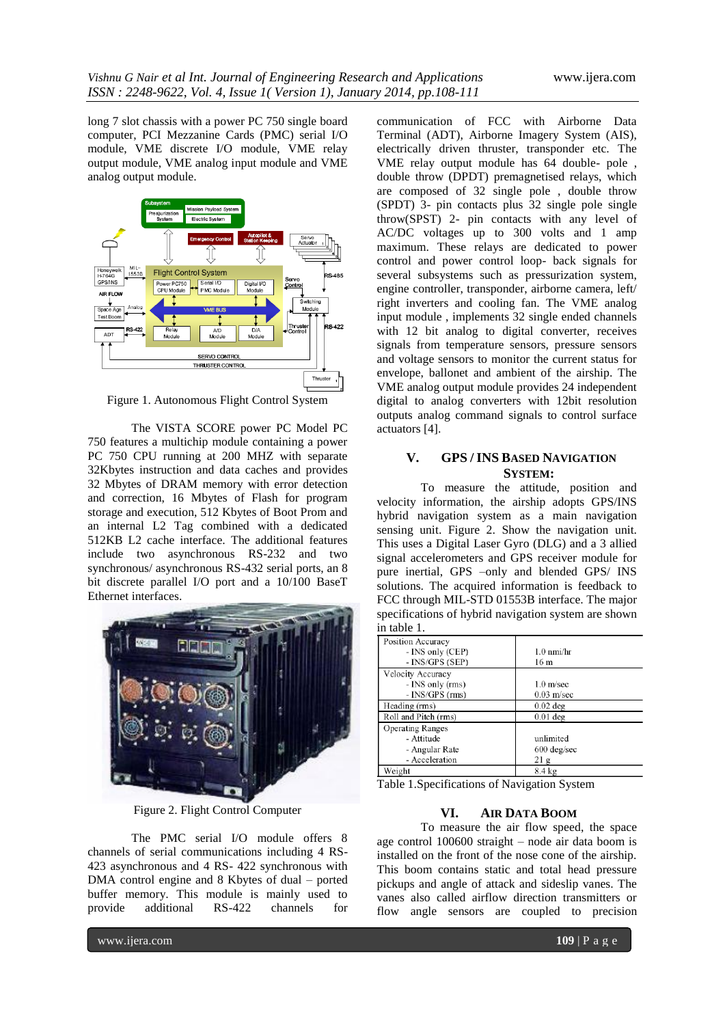long 7 slot chassis with a power PC 750 single board computer, PCI Mezzanine Cards (PMC) serial I/O module, VME discrete I/O module, VME relay output module, VME analog input module and VME analog output module.



Figure 1. Autonomous Flight Control System

The VISTA SCORE power PC Model PC 750 features a multichip module containing a power PC 750 CPU running at 200 MHZ with separate 32Kbytes instruction and data caches and provides 32 Mbytes of DRAM memory with error detection and correction, 16 Mbytes of Flash for program storage and execution, 512 Kbytes of Boot Prom and an internal L2 Tag combined with a dedicated 512KB L2 cache interface. The additional features include two asynchronous RS-232 and two synchronous/ asynchronous RS-432 serial ports, an 8 bit discrete parallel I/O port and a 10/100 BaseT Ethernet interfaces.



Figure 2. Flight Control Computer

The PMC serial I/O module offers 8 channels of serial communications including 4 RS-423 asynchronous and 4 RS- 422 synchronous with DMA control engine and 8 Kbytes of dual – ported buffer memory. This module is mainly used to provide additional RS-422 channels for

communication of FCC with Airborne Data Terminal (ADT), Airborne Imagery System (AIS), electrically driven thruster, transponder etc. The VME relay output module has 64 double- pole , double throw (DPDT) premagnetised relays, which are composed of 32 single pole , double throw (SPDT) 3- pin contacts plus 32 single pole single throw(SPST) 2- pin contacts with any level of AC/DC voltages up to 300 volts and 1 amp maximum. These relays are dedicated to power control and power control loop- back signals for several subsystems such as pressurization system, engine controller, transponder, airborne camera, left/ right inverters and cooling fan. The VME analog input module , implements 32 single ended channels with 12 bit analog to digital converter, receives signals from temperature sensors, pressure sensors and voltage sensors to monitor the current status for envelope, ballonet and ambient of the airship. The VME analog output module provides 24 independent digital to analog converters with 12bit resolution outputs analog command signals to control surface actuators [4].

# **V. GPS / INS BASED NAVIGATION SYSTEM:**

To measure the attitude, position and velocity information, the airship adopts GPS/INS hybrid navigation system as a main navigation sensing unit. Figure 2. Show the navigation unit. This uses a Digital Laser Gyro (DLG) and a 3 allied signal accelerometers and GPS receiver module for pure inertial, GPS –only and blended GPS/ INS solutions. The acquired information is feedback to FCC through MIL-STD 01553B interface. The major specifications of hybrid navigation system are shown in table 1.

| Position Accuracy<br>- INS only (CEP)<br>- INS/GPS (SEP)                  | $1.0 \text{ nm}$ i/hr<br>16 m                         |
|---------------------------------------------------------------------------|-------------------------------------------------------|
| Velocity Accuracy<br>- INS only (rms)<br>$-$ INS/GPS (rms)                | $1.0 \text{ m/sec}$<br>$0.03$ m/sec                   |
| Heading (rms)                                                             | $0.02$ deg                                            |
| Roll and Pitch (rms)                                                      | $0.01$ deg                                            |
| <b>Operating Ranges</b><br>- Attitude<br>- Angular Rate<br>- Acceleration | unlimited<br>$600 \text{ deg/sec}$<br>21 <sub>g</sub> |
| Weight                                                                    | $8.4 \text{ kg}$                                      |

Table 1.Specifications of Navigation System

#### **VI. AIR DATA BOOM**

To measure the air flow speed, the space age control 100600 straight – node air data boom is installed on the front of the nose cone of the airship. This boom contains static and total head pressure pickups and angle of attack and sideslip vanes. The vanes also called airflow direction transmitters or flow angle sensors are coupled to precision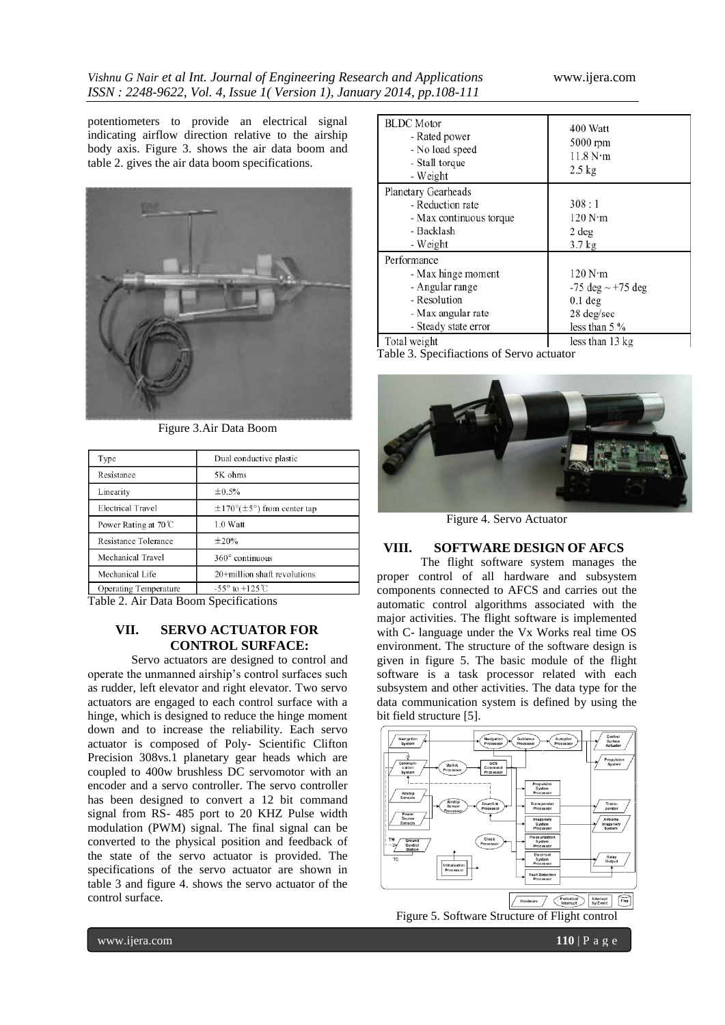potentiometers to provide an electrical signal indicating airflow direction relative to the airship body axis. Figure 3. shows the air data boom and table 2. gives the air data boom specifications.



Figure 3.Air Data Boom

| Type                           | Dual conductive plastic                          |
|--------------------------------|--------------------------------------------------|
| Resistance                     | 5K ohms                                          |
| Linearity                      | $\pm 0.5\%$                                      |
| <b>Electrical Travel</b>       | $\pm 170^{\circ}(\pm 5^{\circ})$ from center tap |
| Power Rating at $70^{\circ}$ C | $1.0$ Watt                                       |
| Resistance Tolerance           | ±20%                                             |
| Mechanical Travel              | $360^\circ$ continuous                           |
| Mechanical Life                | 20+million shaft revolutions                     |
| Operating Temperature          | $-55^{\circ}$ to $+125^{\circ}$ C                |

Table 2. Air Data Boom Specifications

#### **VII. SERVO ACTUATOR FOR CONTROL SURFACE:**

Servo actuators are designed to control and operate the unmanned airship's control surfaces such as rudder, left elevator and right elevator. Two servo actuators are engaged to each control surface with a hinge, which is designed to reduce the hinge moment down and to increase the reliability. Each servo actuator is composed of Poly- Scientific Clifton Precision 308vs.1 planetary gear heads which are coupled to 400w brushless DC servomotor with an encoder and a servo controller. The servo controller has been designed to convert a 12 bit command signal from RS- 485 port to 20 KHZ Pulse width modulation (PWM) signal. The final signal can be converted to the physical position and feedback of the state of the servo actuator is provided. The specifications of the servo actuator are shown in table 3 and figure 4. shows the servo actuator of the control surface.

| <b>BLDC</b> Motor<br>- Rated power<br>- No load speed<br>- Stall torque<br>- Weight                                | 400 Watt<br>5000 rpm<br>11.8 N·m<br>$2.5 \text{ kg}$                                          |
|--------------------------------------------------------------------------------------------------------------------|-----------------------------------------------------------------------------------------------|
| Planetary Gearheads<br>- Reduction rate<br>- Max continuous torque<br>- Backlash<br>- Weight                       | 308:1<br>120 N·m<br>2 deg<br>3.7 <sub>kg</sub>                                                |
| Performance<br>- Max hinge moment<br>- Angular range<br>- Resolution<br>- Max angular rate<br>- Steady state error | 120 N·m<br>$-75 \text{ deg} \sim +75 \text{ deg}$<br>$0.1$ deg<br>28 deg/sec<br>less than 5 % |
| Total weight                                                                                                       | less than 13 kg                                                                               |

Table 3. Specifiactions of Servo actuator



Figure 4. Servo Actuator

# **VIII. SOFTWARE DESIGN OF AFCS**

The flight software system manages the proper control of all hardware and subsystem components connected to AFCS and carries out the automatic control algorithms associated with the major activities. The flight software is implemented with C- language under the Vx Works real time OS environment. The structure of the software design is given in figure 5. The basic module of the flight software is a task processor related with each subsystem and other activities. The data type for the data communication system is defined by using the bit field structure [5].



Figure 5. Software Structure of Flight control